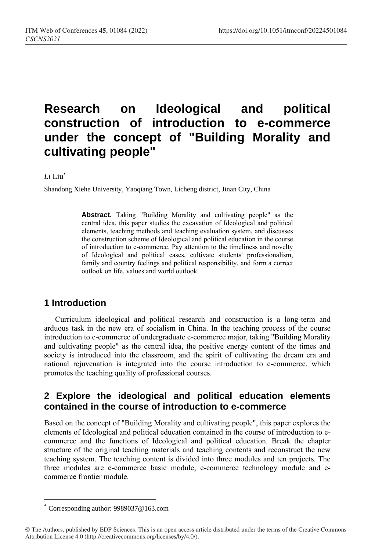# **Research on Ideological and political construction of introduction to e-commerce under the concept of "Building Morality and cultivating people"**

### *Li* Liu\*

Shandong Xiehe University, Yaoqiang Town, Licheng district, Jinan City, China

**Abstract.** Taking "Building Morality and cultivating people" as the central idea, this paper studies the excavation of Ideological and political elements, teaching methods and teaching evaluation system, and discusses the construction scheme of Ideological and political education in the course of introduction to e-commerce. Pay attention to the timeliness and novelty of Ideological and political cases, cultivate students' professionalism, family and country feelings and political responsibility, and form a correct outlook on life, values and world outlook.

### **1 Introduction**

Curriculum ideological and political research and construction is a long-term and arduous task in the new era of socialism in China. In the teaching process of the course introduction to e-commerce of undergraduate e-commerce major, taking "Building Morality and cultivating people" as the central idea, the positive energy content of the times and society is introduced into the classroom, and the spirit of cultivating the dream era and national rejuvenation is integrated into the course introduction to e-commerce, which promotes the teaching quality of professional courses.

# **2 Explore the ideological and political education elements contained in the course of introduction to e-commerce**

Based on the concept of "Building Morality and cultivating people", this paper explores the elements of Ideological and political education contained in the course of introduction to ecommerce and the functions of Ideological and political education. Break the chapter structure of the original teaching materials and teaching contents and reconstruct the new teaching system. The teaching content is divided into three modules and ten projects. The three modules are e-commerce basic module, e-commerce technology module and ecommerce frontier module.

 $\overline{a}$ 

Corresponding author: 9989037@163.com

<sup>©</sup> The Authors, published by EDP Sciences. This is an open access article distributed under the terms of the Creative Commons Attribution License 4.0 (http://creativecommons.org/licenses/by/4.0/).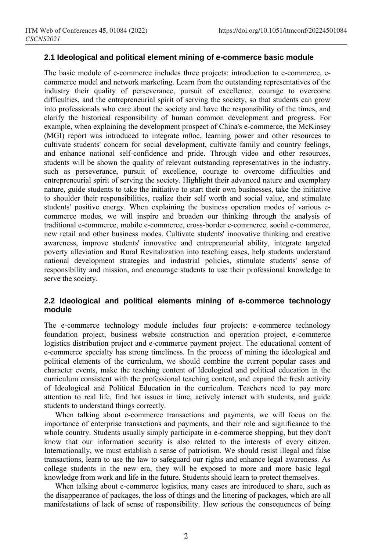#### **2.1 Ideological and political element mining of e-commerce basic module**

The basic module of e-commerce includes three projects: introduction to e-commerce, ecommerce model and network marketing. Learn from the outstanding representatives of the industry their quality of perseverance, pursuit of excellence, courage to overcome difficulties, and the entrepreneurial spirit of serving the society, so that students can grow into professionals who care about the society and have the responsibility of the times, and clarify the historical responsibility of human common development and progress. For example, when explaining the development prospect of China's e-commerce, the McKinsey (MGI) report was introduced to integrate m0oc, learning power and other resources to cultivate students' concern for social development, cultivate family and country feelings, and enhance national self-confidence and pride. Through video and other resources, students will be shown the quality of relevant outstanding representatives in the industry, such as perseverance, pursuit of excellence, courage to overcome difficulties and entrepreneurial spirit of serving the society. Highlight their advanced nature and exemplary nature, guide students to take the initiative to start their own businesses, take the initiative to shoulder their responsibilities, realize their self worth and social value, and stimulate students' positive energy. When explaining the business operation modes of various ecommerce modes, we will inspire and broaden our thinking through the analysis of traditional e-commerce, mobile e-commerce, cross-border e-commerce, social e-commerce, new retail and other business modes. Cultivate students' innovative thinking and creative awareness, improve students' innovative and entrepreneurial ability, integrate targeted poverty alleviation and Rural Revitalization into teaching cases, help students understand national development strategies and industrial policies, stimulate students' sense of responsibility and mission, and encourage students to use their professional knowledge to serve the society.

### **2.2 Ideological and political elements mining of e-commerce technology module**

The e-commerce technology module includes four projects: e-commerce technology foundation project, business website construction and operation project, e-commerce logistics distribution project and e-commerce payment project. The educational content of e-commerce specialty has strong timeliness. In the process of mining the ideological and political elements of the curriculum, we should combine the current popular cases and character events, make the teaching content of Ideological and political education in the curriculum consistent with the professional teaching content, and expand the fresh activity of Ideological and Political Education in the curriculum. Teachers need to pay more attention to real life, find hot issues in time, actively interact with students, and guide students to understand things correctly.

When talking about e-commerce transactions and payments, we will focus on the importance of enterprise transactions and payments, and their role and significance to the whole country. Students usually simply participate in e-commerce shopping, but they don't know that our information security is also related to the interests of every citizen. Internationally, we must establish a sense of patriotism. We should resist illegal and false transactions, learn to use the law to safeguard our rights and enhance legal awareness. As college students in the new era, they will be exposed to more and more basic legal knowledge from work and life in the future. Students should learn to protect themselves.

When talking about e-commerce logistics, many cases are introduced to share, such as the disappearance of packages, the loss of things and the littering of packages, which are all manifestations of lack of sense of responsibility. How serious the consequences of being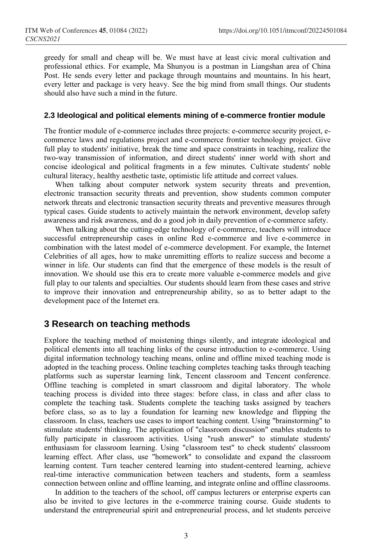greedy for small and cheap will be. We must have at least civic moral cultivation and professional ethics. For example, Ma Shunyou is a postman in Liangshan area of China Post. He sends every letter and package through mountains and mountains. In his heart, every letter and package is very heavy. See the big mind from small things. Our students should also have such a mind in the future.

#### **2.3 Ideological and political elements mining of e-commerce frontier module**

The frontier module of e-commerce includes three projects: e-commerce security project, ecommerce laws and regulations project and e-commerce frontier technology project. Give full play to students' initiative, break the time and space constraints in teaching, realize the two-way transmission of information, and direct students' inner world with short and concise ideological and political fragments in a few minutes. Cultivate students' noble cultural literacy, healthy aesthetic taste, optimistic life attitude and correct values.

When talking about computer network system security threats and prevention, electronic transaction security threats and prevention, show students common computer network threats and electronic transaction security threats and preventive measures through typical cases. Guide students to actively maintain the network environment, develop safety awareness and risk awareness, and do a good job in daily prevention of e-commerce safety.

When talking about the cutting-edge technology of e-commerce, teachers will introduce successful entrepreneurship cases in online Red e-commerce and live e-commerce in combination with the latest model of e-commerce development. For example, the Internet Celebrities of all ages, how to make unremitting efforts to realize success and become a winner in life. Our students can find that the emergence of these models is the result of innovation. We should use this era to create more valuable e-commerce models and give full play to our talents and specialties. Our students should learn from these cases and strive to improve their innovation and entrepreneurship ability, so as to better adapt to the development pace of the Internet era.

### **3 Research on teaching methods**

Explore the teaching method of moistening things silently, and integrate ideological and political elements into all teaching links of the course introduction to e-commerce. Using digital information technology teaching means, online and offline mixed teaching mode is adopted in the teaching process. Online teaching completes teaching tasks through teaching platforms such as superstar learning link, Tencent classroom and Tencent conference. Offline teaching is completed in smart classroom and digital laboratory. The whole teaching process is divided into three stages: before class, in class and after class to complete the teaching task. Students complete the teaching tasks assigned by teachers before class, so as to lay a foundation for learning new knowledge and flipping the classroom. In class, teachers use cases to import teaching content. Using "brainstorming" to stimulate students' thinking. The application of "classroom discussion" enables students to fully participate in classroom activities. Using "rush answer" to stimulate students' enthusiasm for classroom learning. Using "classroom test" to check students' classroom learning effect. After class, use "homework" to consolidate and expand the classroom learning content. Turn teacher centered learning into student-centered learning, achieve real-time interactive communication between teachers and students, form a seamless connection between online and offline learning, and integrate online and offline classrooms.

In addition to the teachers of the school, off campus lecturers or enterprise experts can also be invited to give lectures in the e-commerce training course. Guide students to understand the entrepreneurial spirit and entrepreneurial process, and let students perceive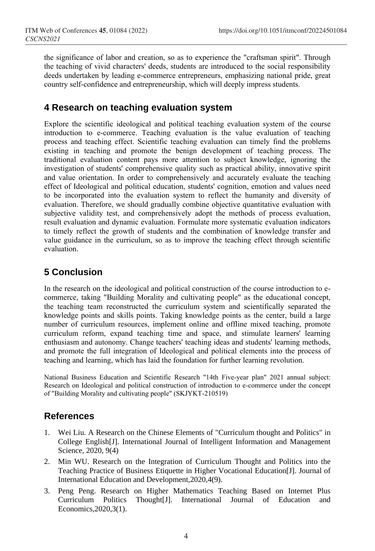the significance of labor and creation, so as to experience the "craftsman spirit". Through the teaching of vivid characters' deeds, students are introduced to the social responsibility deeds undertaken by leading e-commerce entrepreneurs, emphasizing national pride, great country self-confidence and entrepreneurship, which will deeply impress students.

### **4 Research on teaching evaluation system**

Explore the scientific ideological and political teaching evaluation system of the course introduction to e-commerce. Teaching evaluation is the value evaluation of teaching process and teaching effect. Scientific teaching evaluation can timely find the problems existing in teaching and promote the benign development of teaching process. The traditional evaluation content pays more attention to subject knowledge, ignoring the investigation of students' comprehensive quality such as practical ability, innovative spirit and value orientation. In order to comprehensively and accurately evaluate the teaching effect of Ideological and political education, students' cognition, emotion and values need to be incorporated into the evaluation system to reflect the humanity and diversity of evaluation. Therefore, we should gradually combine objective quantitative evaluation with subjective validity test, and comprehensively adopt the methods of process evaluation, result evaluation and dynamic evaluation. Formulate more systematic evaluation indicators to timely reflect the growth of students and the combination of knowledge transfer and value guidance in the curriculum, so as to improve the teaching effect through scientific evaluation.

## **5 Conclusion**

In the research on the ideological and political construction of the course introduction to ecommerce, taking "Building Morality and cultivating people" as the educational concept, the teaching team reconstructed the curriculum system and scientifically separated the knowledge points and skills points. Taking knowledge points as the center, build a large number of curriculum resources, implement online and offline mixed teaching, promote curriculum reform, expand teaching time and space, and stimulate learners' learning enthusiasm and autonomy. Change teachers' teaching ideas and students' learning methods, and promote the full integration of Ideological and political elements into the process of teaching and learning, which has laid the foundation for further learning revolution.

National Business Education and Scientific Research "14th Five-year plan" 2021 annual subject: Research on Ideological and political construction of introduction to e-commerce under the concept of "Building Morality and cultivating people" (SKJYKT-210519)

### **References**

- 1. Wei Liu. A Research on the Chinese Elements of "Curriculum thought and Politics" in College English[J]. International Journal of Intelligent Information and Management Science, 2020, 9(4)
- 2. Min WU. Research on the Integration of Curriculum Thought and Politics into the Teaching Practice of Business Etiquette in Higher Vocational Education[J]. Journal of International Education and Development,2020,4(9).
- 3. Peng Peng. Research on Higher Mathematics Teaching Based on Internet Plus Curriculum Politics Thought[J]. International Journal of Education and Economics,2020,3(1).